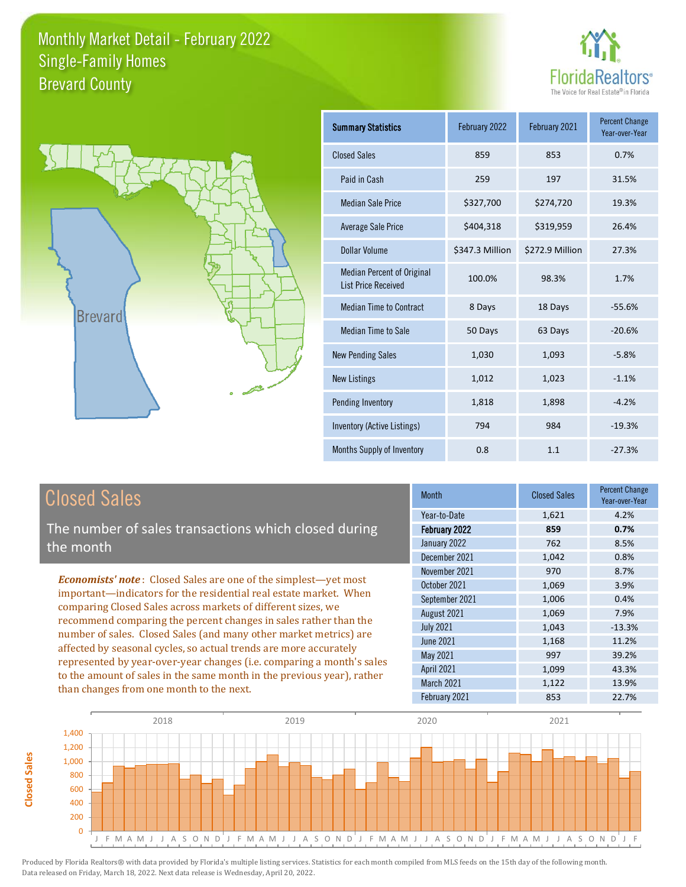



| <b>Summary Statistics</b>                                       | February 2022   | February 2021   | <b>Percent Change</b><br>Year-over-Year |
|-----------------------------------------------------------------|-----------------|-----------------|-----------------------------------------|
| <b>Closed Sales</b>                                             | 859             | 853             | 0.7%                                    |
| Paid in Cash                                                    | 259             | 197             | 31.5%                                   |
| <b>Median Sale Price</b>                                        | \$327,700       | \$274,720       | 19.3%                                   |
| <b>Average Sale Price</b>                                       | \$404,318       | \$319,959       | 26.4%                                   |
| Dollar Volume                                                   | \$347.3 Million | \$272.9 Million | 27.3%                                   |
| <b>Median Percent of Original</b><br><b>List Price Received</b> | 100.0%          | 98.3%           | 1.7%                                    |
| <b>Median Time to Contract</b>                                  | 8 Days          | 18 Days         | $-55.6%$                                |
| <b>Median Time to Sale</b>                                      | 50 Days         | 63 Days         | $-20.6%$                                |
| <b>New Pending Sales</b>                                        | 1,030           | 1,093           | $-5.8%$                                 |
| <b>New Listings</b>                                             | 1,012           | 1,023           | $-1.1%$                                 |
| <b>Pending Inventory</b>                                        | 1,818           | 1,898           | $-4.2%$                                 |
| Inventory (Active Listings)                                     | 794             | 984             | $-19.3%$                                |
| Months Supply of Inventory                                      | 0.8             | 1.1             | $-27.3%$                                |

## Closed Sales

**Closed Sales**

**Closed Sales** 

The number of sales transactions which closed during the month

*Economists' note* : Closed Sales are one of the simplest—yet most important—indicators for the residential real estate market. When comparing Closed Sales across markets of different sizes, we recommend comparing the percent changes in sales rather than the number of sales. Closed Sales (and many other market metrics) are affected by seasonal cycles, so actual trends are more accurately represented by year-over-year changes (i.e. comparing a month's sales to the amount of sales in the same month in the previous year), rather than changes from one month to the next.

| Year-to-Date<br>4.2%<br>1,621<br>February 2022<br>0.7%<br>859<br>January 2022<br>762<br>8.5%<br>December 2021<br>1,042<br>0.8%<br>November 2021<br>970<br>8.7%<br>3.9% | <b>Month</b> | <b>Closed Sales</b> | <b>Percent Change</b><br>Year-over-Year |
|------------------------------------------------------------------------------------------------------------------------------------------------------------------------|--------------|---------------------|-----------------------------------------|
|                                                                                                                                                                        |              |                     |                                         |
|                                                                                                                                                                        |              |                     |                                         |
|                                                                                                                                                                        |              |                     |                                         |
|                                                                                                                                                                        |              |                     |                                         |
|                                                                                                                                                                        |              |                     |                                         |
|                                                                                                                                                                        | October 2021 | 1,069               |                                         |
| September 2021<br>0.4%<br>1,006                                                                                                                                        |              |                     |                                         |
| 1,069<br>August 2021<br>7.9%                                                                                                                                           |              |                     |                                         |
| <b>July 2021</b><br>1,043<br>$-13.3%$                                                                                                                                  |              |                     |                                         |
| <b>June 2021</b><br>11.2%<br>1,168                                                                                                                                     |              |                     |                                         |
| May 2021<br>997<br>39.2%                                                                                                                                               |              |                     |                                         |
| <b>April 2021</b><br>1,099<br>43.3%                                                                                                                                    |              |                     |                                         |
| March 2021<br>1,122<br>13.9%                                                                                                                                           |              |                     |                                         |
| February 2021<br>853<br>22.7%                                                                                                                                          |              |                     |                                         |

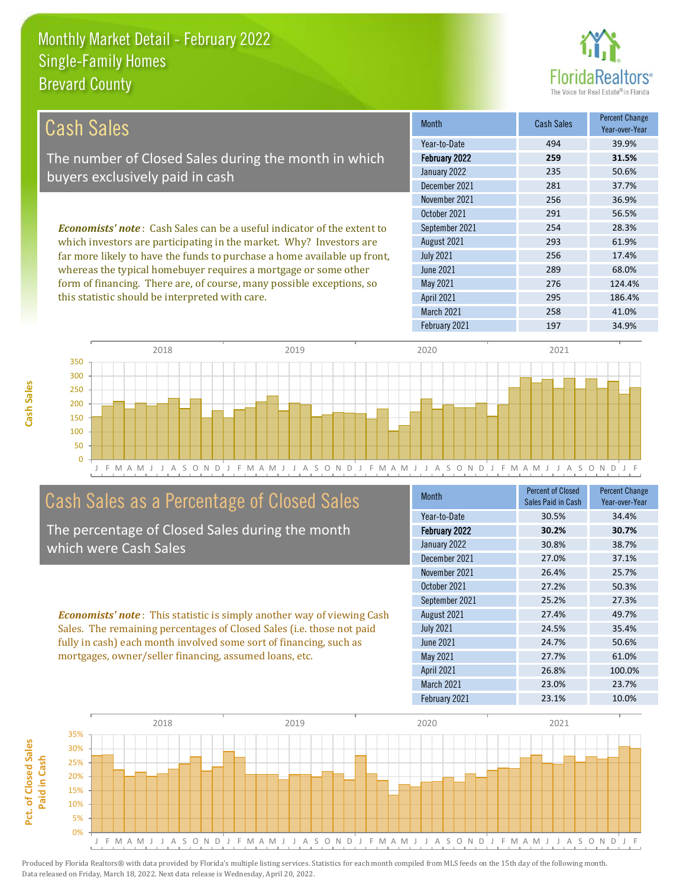

| <b>Cash Sales</b>                                                              | <b>Month</b>      | <b>Cash Sales</b> | <b>Percent Change</b><br>Year-over-Year |
|--------------------------------------------------------------------------------|-------------------|-------------------|-----------------------------------------|
|                                                                                | Year-to-Date      | 494               | 39.9%                                   |
| The number of Closed Sales during the month in which                           | February 2022     | 259               | 31.5%                                   |
| buyers exclusively paid in cash                                                | January 2022      | 235               | 50.6%                                   |
|                                                                                | December 2021     | 281               | 37.7%                                   |
|                                                                                | November 2021     | 256               | 36.9%                                   |
| <b>Economists' note:</b> Cash Sales can be a useful indicator of the extent to | October 2021      | 291               | 56.5%                                   |
|                                                                                | September 2021    | 254               | 28.3%                                   |
| which investors are participating in the market. Why? Investors are            | August 2021       | 293               | 61.9%                                   |
| far more likely to have the funds to purchase a home available up front,       | <b>July 2021</b>  | 256               | 17.4%                                   |
| whereas the typical homebuyer requires a mortgage or some other                | <b>June 2021</b>  | 289               | 68.0%                                   |
| form of financing. There are, of course, many possible exceptions, so          | May 2021          | 276               | 124.4%                                  |
| this statistic should be interpreted with care.                                | <b>April 2021</b> | 295               | 186.4%                                  |
|                                                                                | March 2021        | 258               | 41.0%                                   |



#### Cash Sales as a Percentage of Closed Sales

The percentage of Closed Sales during the month which were Cash Sales

*Economists' note* : This statistic is simply another way of viewing Cash Sales. The remaining percentages of Closed Sales (i.e. those not paid fully in cash) each month involved some sort of financing, such as mortgages, owner/seller financing, assumed loans, etc.

| <b>Month</b>         | <b>Percent of Closed</b><br>Sales Paid in Cash | <b>Percent Change</b><br>Year-over-Year |
|----------------------|------------------------------------------------|-----------------------------------------|
| Year-to-Date         | 30.5%                                          | 34.4%                                   |
| <b>February 2022</b> | 30.2%                                          | 30.7%                                   |
| January 2022         | 30.8%                                          | 38.7%                                   |
| December 2021        | 27.0%                                          | 37.1%                                   |
| November 2021        | 26.4%                                          | 25.7%                                   |
| October 2021         | 27.2%                                          | 50.3%                                   |
| September 2021       | 25.2%                                          | 27.3%                                   |
| August 2021          | 27.4%                                          | 49.7%                                   |
| <b>July 2021</b>     | 24.5%                                          | 35.4%                                   |
| <b>June 2021</b>     | 24.7%                                          | 50.6%                                   |
| May 2021             | 27.7%                                          | 61.0%                                   |
| <b>April 2021</b>    | 26.8%                                          | 100.0%                                  |
| March 2021           | 23.0%                                          | 23.7%                                   |
| February 2021        | 23.1%                                          | 10.0%                                   |

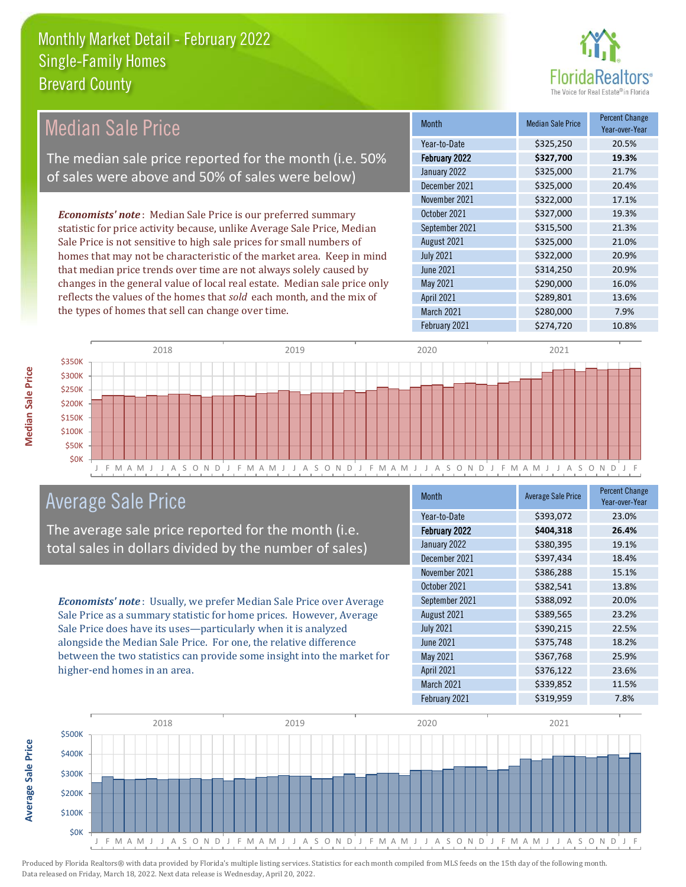

| <b>Median Sale Price</b>                                                  | Month                | <b>Median Sale Price</b> | <b>Percent Change</b><br>Year-over-Year |
|---------------------------------------------------------------------------|----------------------|--------------------------|-----------------------------------------|
|                                                                           | Year-to-Date         | \$325,250                | 20.5%                                   |
| The median sale price reported for the month (i.e. 50%                    | <b>February 2022</b> | \$327,700                | 19.3%                                   |
| of sales were above and 50% of sales were below)                          | January 2022         | \$325,000                | 21.7%                                   |
|                                                                           | December 2021        | \$325,000                | 20.4%                                   |
|                                                                           | November 2021        | \$322,000                | 17.1%                                   |
| <b>Economists' note:</b> Median Sale Price is our preferred summary       | October 2021         | \$327,000                | 19.3%                                   |
| statistic for price activity because, unlike Average Sale Price, Median   | September 2021       | \$315,500                | 21.3%                                   |
| Sale Price is not sensitive to high sale prices for small numbers of      | August 2021          | \$325,000                | 21.0%                                   |
| homes that may not be characteristic of the market area. Keep in mind     | <b>July 2021</b>     | \$322,000                | 20.9%                                   |
| that median price trends over time are not always solely caused by        | June 2021            | \$314,250                | 20.9%                                   |
| changes in the general value of local real estate. Median sale price only | May 2021             | \$290,000                | 16.0%                                   |
| reflects the values of the homes that sold each month, and the mix of     | <b>April 2021</b>    | \$289,801                | 13.6%                                   |
| the types of homes that sell can change over time.                        | <b>March 2021</b>    | \$280,000                | 7.9%                                    |
|                                                                           | February 2021        | \$274,720                | 10.8%                                   |



## Average Sale Price

The average sale price reported for the month (i.e. total sales in dollars divided by the number of sales)

*Economists' note* : Usually, we prefer Median Sale Price over Average Sale Price as a summary statistic for home prices. However, Average Sale Price does have its uses—particularly when it is analyzed alongside the Median Sale Price. For one, the relative difference between the two statistics can provide some insight into the market for higher-end homes in an area.

| <b>Average Sale Price</b> | <b>Percent Change</b><br>Year-over-Year |
|---------------------------|-----------------------------------------|
| \$393,072                 | 23.0%                                   |
| \$404,318                 | 26.4%                                   |
| \$380,395                 | 19.1%                                   |
| \$397,434                 | 18.4%                                   |
| \$386,288                 | 15.1%                                   |
| \$382,541                 | 13.8%                                   |
| \$388,092                 | 20.0%                                   |
| \$389,565                 | 23.2%                                   |
| \$390,215                 | 22.5%                                   |
| \$375,748                 | 18.2%                                   |
| \$367,768                 | 25.9%                                   |
| \$376,122                 | 23.6%                                   |
| \$339,852                 | 11.5%                                   |
| \$319,959                 | 7.8%                                    |
|                           |                                         |



Produced by Florida Realtors® with data provided by Florida's multiple listing services. Statistics for each month compiled from MLS feeds on the 15th day of the following month. Data released on Friday, March 18, 2022. Next data release is Wednesday, April 20, 2022.

**Average Sale Price**

Average Sale Price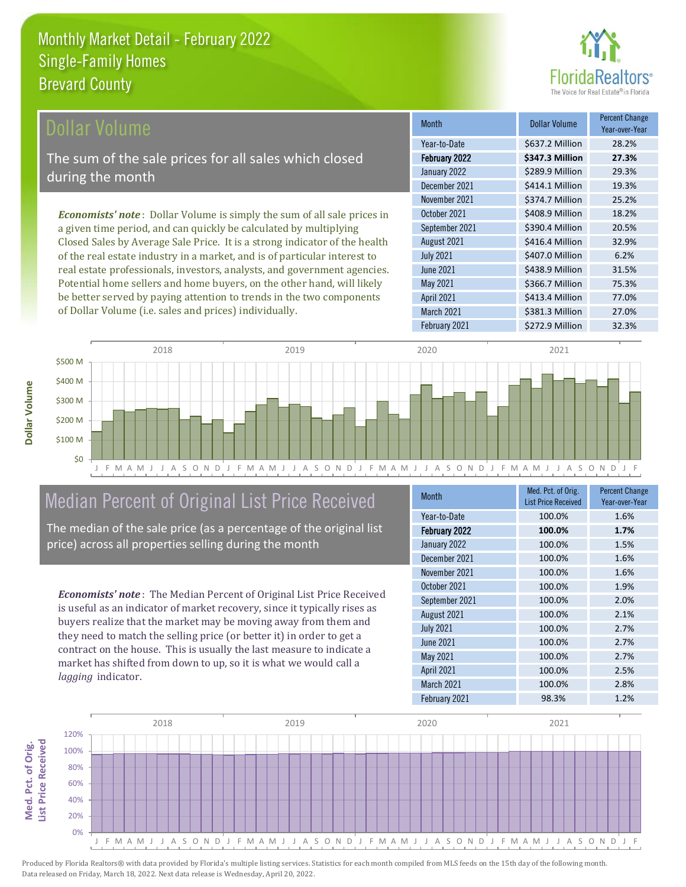of Dollar Volume (i.e. sales and prices) individually.



| <b>Dollar Volume</b>                                                            | <b>Month</b>      | <b>Dollar Volume</b> | <b>Percent Change</b><br>Year-over-Year |
|---------------------------------------------------------------------------------|-------------------|----------------------|-----------------------------------------|
|                                                                                 | Year-to-Date      | \$637.2 Million      | 28.2%                                   |
| The sum of the sale prices for all sales which closed                           | February 2022     | \$347.3 Million      | 27.3%                                   |
| during the month                                                                | January 2022      | \$289.9 Million      | 29.3%                                   |
|                                                                                 | December 2021     | \$414.1 Million      | 19.3%                                   |
|                                                                                 | November 2021     | \$374.7 Million      | 25.2%                                   |
| <b>Economists' note</b> : Dollar Volume is simply the sum of all sale prices in | October 2021      | \$408.9 Million      | 18.2%                                   |
| a given time period, and can quickly be calculated by multiplying               | September 2021    | \$390.4 Million      | 20.5%                                   |
| Closed Sales by Average Sale Price. It is a strong indicator of the health      | August 2021       | \$416.4 Million      | 32.9%                                   |
| of the real estate industry in a market, and is of particular interest to       | <b>July 2021</b>  | \$407.0 Million      | 6.2%                                    |
| real estate professionals, investors, analysts, and government agencies.        | June 2021         | \$438.9 Million      | 31.5%                                   |
| Potential home sellers and home buyers, on the other hand, will likely          | May 2021          | \$366.7 Million      | 75.3%                                   |
| be better served by paying attention to trends in the two components            | <b>April 2021</b> | \$413.4 Million      | 77.0%                                   |



## Median Percent of Original List Price Received

The median of the sale price (as a percentage of the original list price) across all properties selling during the month

*Economists' note* : The Median Percent of Original List Price Received is useful as an indicator of market recovery, since it typically rises as buyers realize that the market may be moving away from them and they need to match the selling price (or better it) in order to get a contract on the house. This is usually the last measure to indicate a market has shifted from down to up, so it is what we would call a *lagging* indicator.

**Med. Pct. of Orig.** 

Med. Pct. of Orig.

**Dollar Volume**

**Dollar Volume** 

| <b>Month</b>      | Med. Pct. of Orig.<br><b>List Price Received</b> | <b>Percent Change</b><br>Year-over-Year |
|-------------------|--------------------------------------------------|-----------------------------------------|
| Year-to-Date      | 100.0%                                           | 1.6%                                    |
| February 2022     | 100.0%                                           | 1.7%                                    |
| January 2022      | 100.0%                                           | 1.5%                                    |
| December 2021     | 100.0%                                           | 1.6%                                    |
| November 2021     | 100.0%                                           | 1.6%                                    |
| October 2021      | 100.0%                                           | 1.9%                                    |
| September 2021    | 100.0%                                           | 2.0%                                    |
| August 2021       | 100.0%                                           | 2.1%                                    |
| <b>July 2021</b>  | 100.0%                                           | 2.7%                                    |
| <b>June 2021</b>  | 100.0%                                           | 2.7%                                    |
| May 2021          | 100.0%                                           | 2.7%                                    |
| <b>April 2021</b> | 100.0%                                           | 2.5%                                    |
| March 2021        | 100.0%                                           | 2.8%                                    |
| February 2021     | 98.3%                                            | 1.2%                                    |

March 2021 **\$381.3 Million** 27.0%

February 2021 \$272.9 Million 32.3%

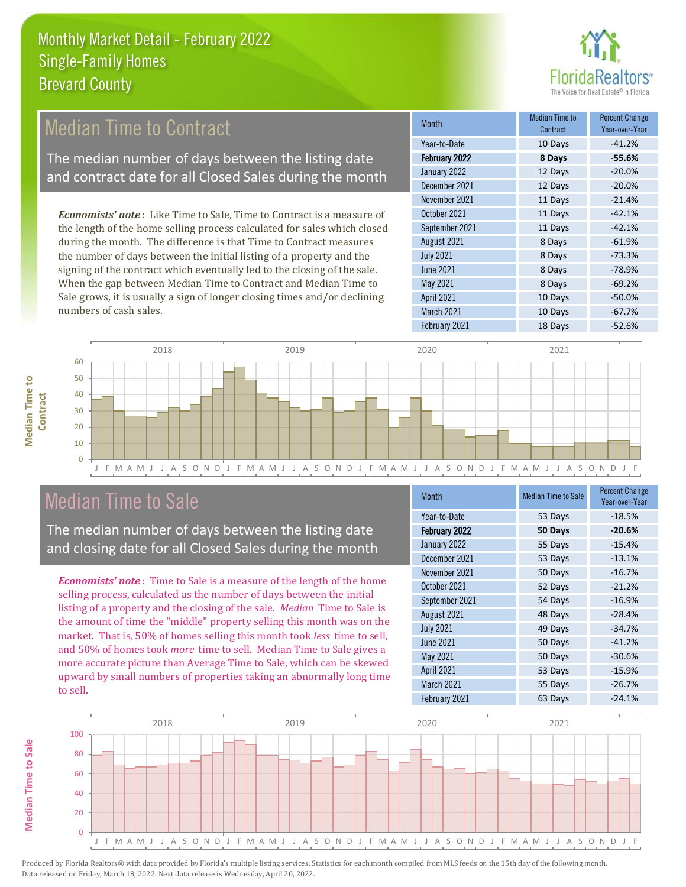

#### *Economists' note* : Like Time to Sale, Time to Contract is a measure of the length of the home selling process calculated for sales which closed October 2021 11 Days -42.1% September 2021 11 Days -42.1% Month Month Median Time to **Median Time to Contract** Percent Change Year-over-Year February 2022 **8 Days -55.6%** Year-to-Date 10 Days -41.2% January 2022 12 Days -20.0% December 2021 12 Days -20.0% November 2021 11 Days -21.4% Median Time to Contract The median number of days between the listing date and contract date for all Closed Sales during the month

during the month. The difference is that Time to Contract measures the number of days between the initial listing of a property and the signing of the contract which eventually led to the closing of the sale. When the gap between Median Time to Contract and Median Time to Sale grows, it is usually a sign of longer closing times and/or declining numbers of cash sales.





## Median Time to Sale

The median number of days between the listing date and closing date for all Closed Sales during the month

*Economists' note* : Time to Sale is a measure of the length of the home selling process, calculated as the number of days between the initial listing of a property and the closing of the sale. *Median* Time to Sale is the amount of time the "middle" property selling this month was on the market. That is, 50% of homes selling this month took *less* time to sell, and 50% of homes took *more* time to sell. Median Time to Sale gives a more accurate picture than Average Time to Sale, which can be skewed upward by small numbers of properties taking an abnormally long time to sell.

| <b>Median Time to Sale</b> | <b>Percent Change</b><br>Year-over-Year |
|----------------------------|-----------------------------------------|
| 53 Days                    | $-18.5%$                                |
| 50 Days                    | $-20.6%$                                |
| 55 Days                    | $-15.4%$                                |
| 53 Days                    | $-13.1%$                                |
| 50 Days                    | $-16.7%$                                |
| 52 Days                    | $-21.2%$                                |
| 54 Days                    | $-16.9%$                                |
| 48 Days                    | $-28.4%$                                |
| 49 Days                    | $-34.7%$                                |
| 50 Days                    | $-41.2%$                                |
| 50 Days                    | $-30.6%$                                |
| 53 Days                    | $-15.9%$                                |
| 55 Days                    | $-26.7%$                                |
| 63 Days                    | $-24.1%$                                |
|                            |                                         |



**Median Time to** 

**Median Time to**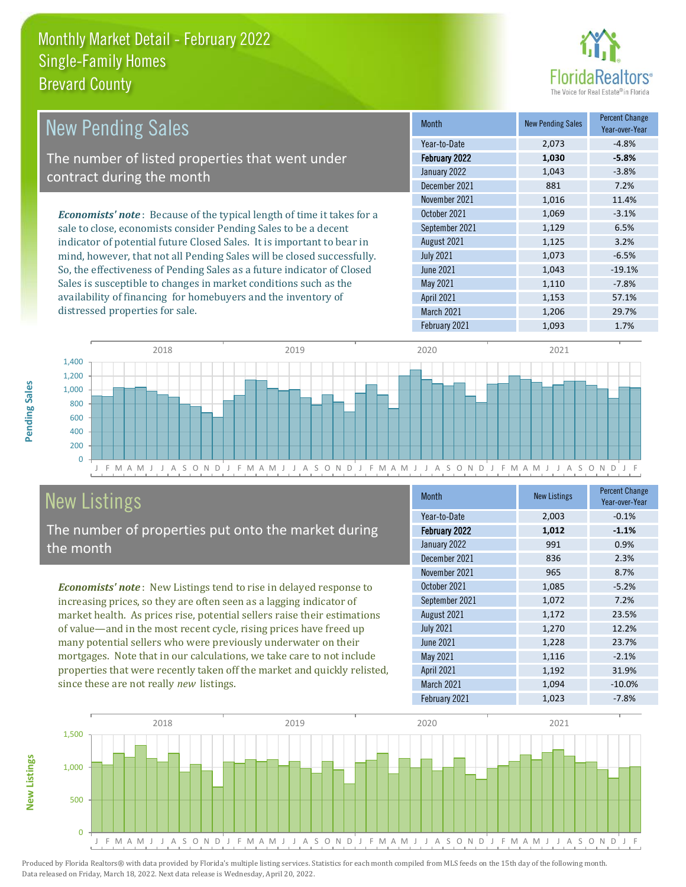

| <b>New Pending Sales</b>                                                       | <b>Month</b>      | <b>New Pending Sales</b> | <b>Percent Change</b><br>Year-over-Year |
|--------------------------------------------------------------------------------|-------------------|--------------------------|-----------------------------------------|
|                                                                                | Year-to-Date      | 2,073                    | $-4.8%$                                 |
| The number of listed properties that went under                                | February 2022     | 1,030                    | $-5.8%$                                 |
| contract during the month                                                      | January 2022      | 1,043                    | $-3.8%$                                 |
|                                                                                | December 2021     | 881                      | 7.2%                                    |
|                                                                                | November 2021     | 1,016                    | 11.4%                                   |
| <b>Economists' note</b> : Because of the typical length of time it takes for a | October 2021      | 1,069                    | $-3.1%$                                 |
| sale to close, economists consider Pending Sales to be a decent                | September 2021    | 1,129                    | 6.5%                                    |
| indicator of potential future Closed Sales. It is important to bear in         | August 2021       | 1,125                    | 3.2%                                    |
| mind, however, that not all Pending Sales will be closed successfully.         | <b>July 2021</b>  | 1,073                    | $-6.5%$                                 |
| So, the effectiveness of Pending Sales as a future indicator of Closed         | <b>June 2021</b>  | 1,043                    | $-19.1%$                                |
| Sales is susceptible to changes in market conditions such as the               | May 2021          | 1,110                    | $-7.8%$                                 |
| availability of financing for homebuyers and the inventory of                  | <b>April 2021</b> | 1,153                    | 57.1%                                   |



## New Listings

distressed properties for sale.

The number of properties put onto the market during the month

*Economists' note* : New Listings tend to rise in delayed response to increasing prices, so they are often seen as a lagging indicator of market health. As prices rise, potential sellers raise their estimations of value—and in the most recent cycle, rising prices have freed up many potential sellers who were previously underwater on their mortgages. Note that in our calculations, we take care to not include properties that were recently taken off the market and quickly relisted, since these are not really *new* listings.

| <b>Month</b>      | <b>New Listings</b> | <b>Percent Change</b><br>Year-over-Year |
|-------------------|---------------------|-----------------------------------------|
| Year-to-Date      | 2,003               | $-0.1%$                                 |
| February 2022     | 1,012               | $-1.1%$                                 |
| January 2022      | 991                 | 0.9%                                    |
| December 2021     | 836                 | 2.3%                                    |
| November 2021     | 965                 | 8.7%                                    |
| October 2021      | 1,085               | $-5.2%$                                 |
| September 2021    | 1,072               | 7.2%                                    |
| August 2021       | 1,172               | 23.5%                                   |
| <b>July 2021</b>  | 1,270               | 12.2%                                   |
| <b>June 2021</b>  | 1,228               | 23.7%                                   |
| <b>May 2021</b>   | 1,116               | $-2.1%$                                 |
| <b>April 2021</b> | 1,192               | 31.9%                                   |
| March 2021        | 1,094               | $-10.0%$                                |
| February 2021     | 1,023               | $-7.8%$                                 |

February 2021 1,093 1.7%

March 2021 1,206 29.7%



Pending Sales **Pending Sales**

**New Listings**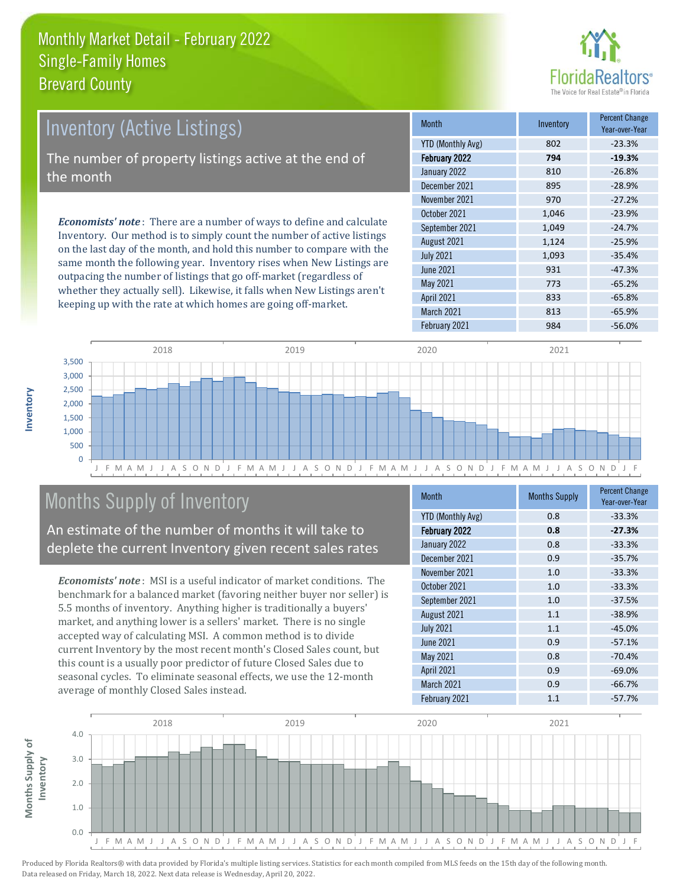

| Inventory (Active Listings)                                                 | <b>Month</b>      | Inventory | <b>Percent Change</b><br>Year-over-Year |
|-----------------------------------------------------------------------------|-------------------|-----------|-----------------------------------------|
|                                                                             | YTD (Monthly Avg) | 802       | $-23.3%$                                |
| The number of property listings active at the end of                        | February 2022     | 794       | $-19.3%$                                |
| the month                                                                   | January 2022      | 810       | $-26.8%$                                |
|                                                                             | December 2021     | 895       | $-28.9%$                                |
| <b>Economists' note:</b> There are a number of ways to define and calculate | November 2021     | 970       | $-27.2%$                                |
|                                                                             | October 2021      | 1.046     | $-23.9%$                                |
|                                                                             | September 2021    | 1.049     | $-24.7%$                                |
| Inventory. Our method is to simply count the number of active listings      | August 2021       | 1.124     | $-25.9%$                                |

on the last day of the month, and hold this number to compare with the same month the following year. Inventory rises when New Listings are outpacing the number of listings that go off-market (regardless of whether they actually sell). Likewise, it falls when New Listings aren't keeping up with the rate at which homes are going off-market.

|                          | .     | Year-over-Year |
|--------------------------|-------|----------------|
| <b>YTD (Monthly Avg)</b> | 802   | $-23.3%$       |
| February 2022            | 794   | $-19.3%$       |
| January 2022             | 810   | $-26.8%$       |
| December 2021            | 895   | $-28.9%$       |
| November 2021            | 970   | $-27.2%$       |
| October 2021             | 1,046 | $-23.9%$       |
| September 2021           | 1,049 | $-24.7%$       |
| August 2021              | 1,124 | $-25.9%$       |
| <b>July 2021</b>         | 1,093 | $-35.4%$       |
| <b>June 2021</b>         | 931   | $-47.3%$       |
| May 2021                 | 773   | $-65.2%$       |
| <b>April 2021</b>        | 833   | $-65.8%$       |
| March 2021               | 813   | $-65.9%$       |
| February 2021            | 984   | $-56.0%$       |



## Months Supply of Inventory

An estimate of the number of months it will take to deplete the current Inventory given recent sales rates

*Economists' note* : MSI is a useful indicator of market conditions. The benchmark for a balanced market (favoring neither buyer nor seller) is 5.5 months of inventory. Anything higher is traditionally a buyers' market, and anything lower is a sellers' market. There is no single accepted way of calculating MSI. A common method is to divide current Inventory by the most recent month's Closed Sales count, but this count is a usually poor predictor of future Closed Sales due to seasonal cycles. To eliminate seasonal effects, we use the 12-month average of monthly Closed Sales instead.

| <b>Month</b>             | <b>Months Supply</b> | <b>Percent Change</b><br>Year-over-Year |
|--------------------------|----------------------|-----------------------------------------|
| <b>YTD (Monthly Avg)</b> | 0.8                  | $-33.3%$                                |
| February 2022            | 0.8                  | $-27.3%$                                |
| January 2022             | 0.8                  | $-33.3%$                                |
| December 2021            | 0.9                  | $-35.7%$                                |
| November 2021            | 1.0                  | $-33.3%$                                |
| October 2021             | 1.0                  | $-33.3%$                                |
| September 2021           | 1.0                  | $-37.5%$                                |
| August 2021              | 1.1                  | $-38.9%$                                |
| <b>July 2021</b>         | 1.1                  | $-45.0%$                                |
| June 2021                | 0.9                  | $-57.1%$                                |
| <b>May 2021</b>          | 0.8                  | $-70.4%$                                |
| <b>April 2021</b>        | 0.9                  | $-69.0%$                                |
| March 2021               | 0.9                  | $-66.7%$                                |
| February 2021            | 1.1                  | $-57.7%$                                |

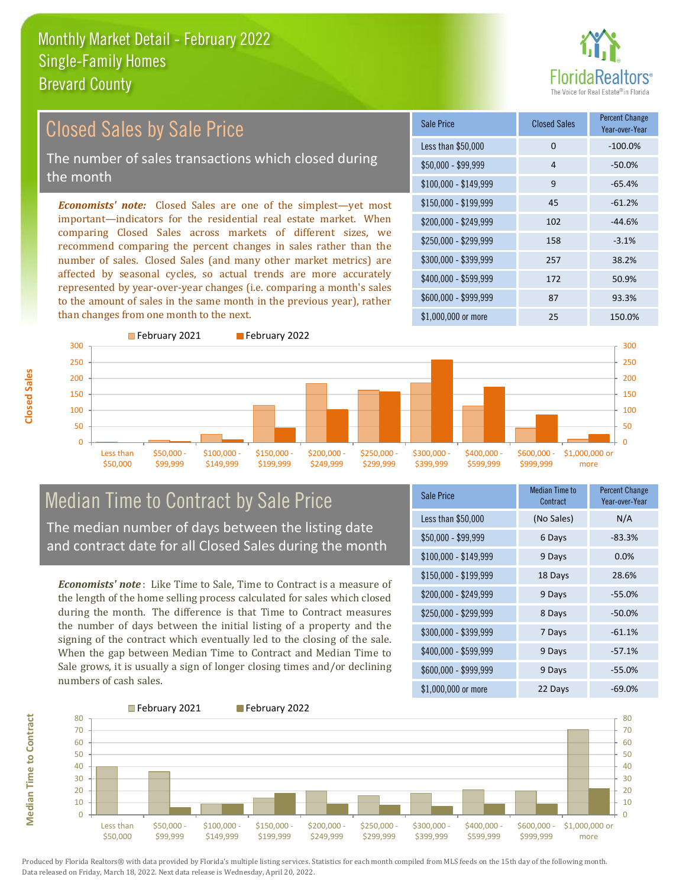

## Closed Sales by Sale Price

The number of sales transactions which closed during the month

*Economists' note:* Closed Sales are one of the simplest—yet most important—indicators for the residential real estate market. When comparing Closed Sales across markets of different sizes, we recommend comparing the percent changes in sales rather than the number of sales. Closed Sales (and many other market metrics) are affected by seasonal cycles, so actual trends are more accurately represented by year-over-year changes (i.e. comparing a month's sales to the amount of sales in the same month in the previous year), rather than changes from one month to the next.

| Sale Price            | <b>Closed Sales</b> | <b>Percent Change</b><br>Year-over-Year |
|-----------------------|---------------------|-----------------------------------------|
| Less than \$50,000    | $\Omega$            | $-100.0%$                               |
| $$50,000 - $99,999$   | 4                   | $-50.0%$                                |
| $$100,000 - $149,999$ | 9                   | $-65.4%$                                |
| $$150,000 - $199,999$ | 45                  | $-61.2%$                                |
| \$200,000 - \$249,999 | 102                 | $-44.6%$                                |
| \$250,000 - \$299,999 | 158                 | $-3.1%$                                 |
| \$300,000 - \$399,999 | 257                 | 38.2%                                   |
| \$400,000 - \$599,999 | 172                 | 50.9%                                   |
| $$600,000 - $999,999$ | 87                  | 93.3%                                   |
| $$1,000,000$ or more  | 25                  | 150.0%                                  |



## Median Time to Contract by Sale Price

The median number of days between the listing date and contract date for all Closed Sales during the month

*Economists' note* : Like Time to Sale, Time to Contract is a measure of the length of the home selling process calculated for sales which closed during the month. The difference is that Time to Contract measures the number of days between the initial listing of a property and the signing of the contract which eventually led to the closing of the sale. When the gap between Median Time to Contract and Median Time to Sale grows, it is usually a sign of longer closing times and/or declining numbers of cash sales.

| <b>Sale Price</b>     | Median Time to<br>Contract | <b>Percent Change</b><br>Year-over-Year |
|-----------------------|----------------------------|-----------------------------------------|
| Less than \$50,000    | (No Sales)                 | N/A                                     |
| \$50,000 - \$99,999   | 6 Days                     | $-83.3%$                                |
| $$100,000 - $149,999$ | 9 Days                     | 0.0%                                    |
| $$150,000 - $199,999$ | 18 Days                    | 28.6%                                   |
| \$200,000 - \$249,999 | 9 Days                     | $-55.0%$                                |
| \$250,000 - \$299,999 | 8 Days                     | $-50.0%$                                |
| \$300,000 - \$399,999 | 7 Days                     | $-61.1%$                                |
| \$400,000 - \$599,999 | 9 Days                     | $-57.1%$                                |
| \$600,000 - \$999,999 | 9 Days                     | $-55.0%$                                |
| $$1,000,000$ or more  | 22 Days                    | $-69.0%$                                |



Produced by Florida Realtors® with data provided by Florida's multiple listing services. Statistics for each month compiled from MLS feeds on the 15th day of the following month. Data released on Friday, March 18, 2022. Next data release is Wednesday, April 20, 2022.

**Median Time to Contract**

**Median Time to Contract**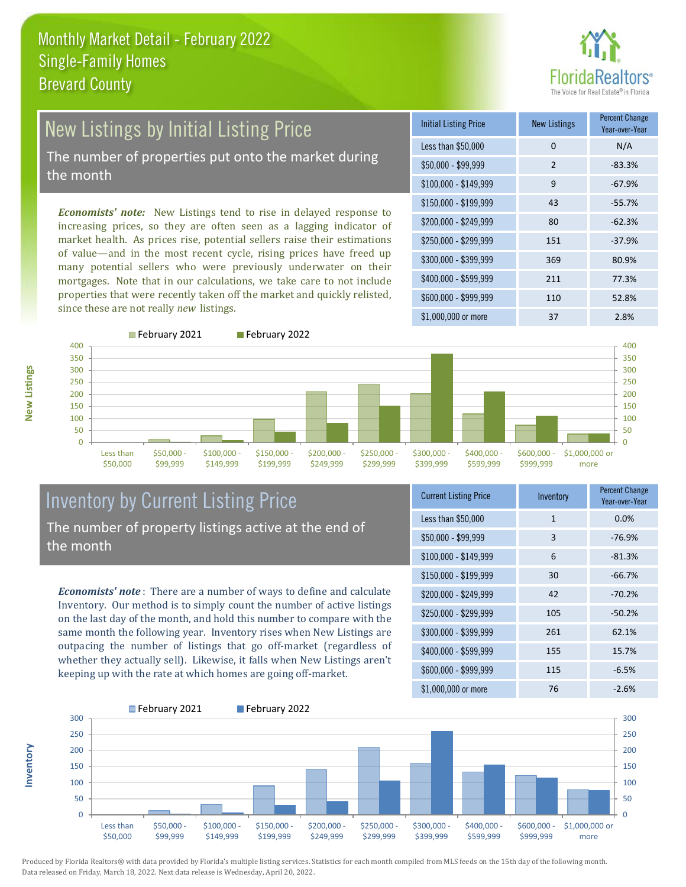# ealtors®

## New Listings by Initial Listing Price

The number of properties put onto the market during the month

*Economists' note:* New Listings tend to rise in delayed response to increasing prices, so they are often seen as a lagging indicator of market health. As prices rise, potential sellers raise their estimations of value—and in the most recent cycle, rising prices have freed up many potential sellers who were previously underwater on their mortgages. Note that in our calculations, we take care to not include properties that were recently taken off the market and quickly relisted, since these are not really *new* listings.





**New Listings**

**Inventory**





#### Inventory by Current Listing Price The number of property listings active at the end of the month

*Economists' note* : There are a number of ways to define and calculate Inventory. Our method is to simply count the number of active listings on the last day of the month, and hold this number to compare with the same month the following year. Inventory rises when New Listings are outpacing the number of listings that go off-market (regardless of whether they actually sell). Likewise, it falls when New Listings aren't keeping up with the rate at which homes are going off-market.

| <b>Current Listing Price</b> | Inventory | <b>Percent Change</b><br>Year-over-Year |
|------------------------------|-----------|-----------------------------------------|
| Less than \$50,000           | 1         | 0.0%                                    |
| $$50,000 - $99,999$          | 3         | $-76.9%$                                |
| $$100,000 - $149,999$        | 6         | $-81.3%$                                |
| $$150,000 - $199,999$        | 30        | $-66.7%$                                |
| $$200,000 - $249,999$        | 42        | $-70.2%$                                |
| \$250,000 - \$299,999        | 105       | $-50.2%$                                |
| \$300,000 - \$399,999        | 261       | 62.1%                                   |
| $$400,000 - $599,999$        | 155       | 15.7%                                   |
| $$600,000 - $999,999$        | 115       | $-6.5%$                                 |
| $$1,000,000$ or more         | 76        | $-2.6%$                                 |